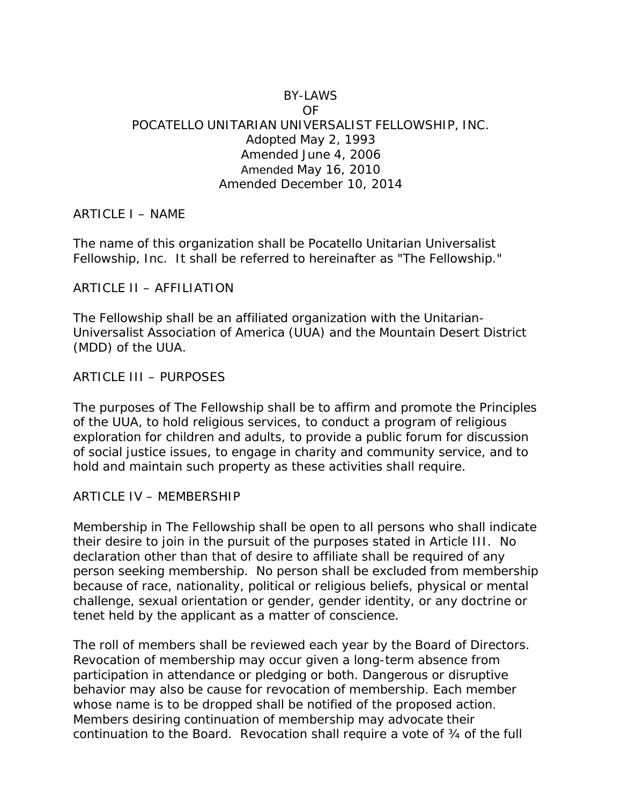## BY-LAWS OF POCATELLO UNITARIAN UNIVERSALIST FELLOWSHIP, INC. Adopted May 2, 1993 Amended June 4, 2006 Amended May 16, 2010 Amended December 10, 2014

### ARTICLE I – NAME

The name of this organization shall be Pocatello Unitarian Universalist Fellowship, Inc. It shall be referred to hereinafter as "The Fellowship."

ARTICLE II – AFFILIATION

The Fellowship shall be an affiliated organization with the Unitarian-Universalist Association of America (UUA) and the Mountain Desert District (MDD) of the UUA.

### ARTICLE III – PURPOSES

The purposes of The Fellowship shall be to affirm and promote the Principles of the UUA, to hold religious services, to conduct a program of religious exploration for children and adults, to provide a public forum for discussion of social justice issues, to engage in charity and community service, and to hold and maintain such property as these activities shall require.

### ARTICLE IV – MEMBERSHIP

Membership in The Fellowship shall be open to all persons who shall indicate their desire to join in the pursuit of the purposes stated in Article III. No declaration other than that of desire to affiliate shall be required of any person seeking membership. No person shall be excluded from membership because of race, nationality, political or religious beliefs, physical or mental challenge, sexual orientation or gender, gender identity, or any doctrine or tenet held by the applicant as a matter of conscience.

The roll of members shall be reviewed each year by the Board of Directors. Revocation of membership may occur given a long-term absence from participation in attendance or pledging or both. Dangerous or disruptive behavior may also be cause for revocation of membership. Each member whose name is to be dropped shall be notified of the proposed action. Members desiring continuation of membership may advocate their continuation to the Board. Revocation shall require a vote of ¾ of the full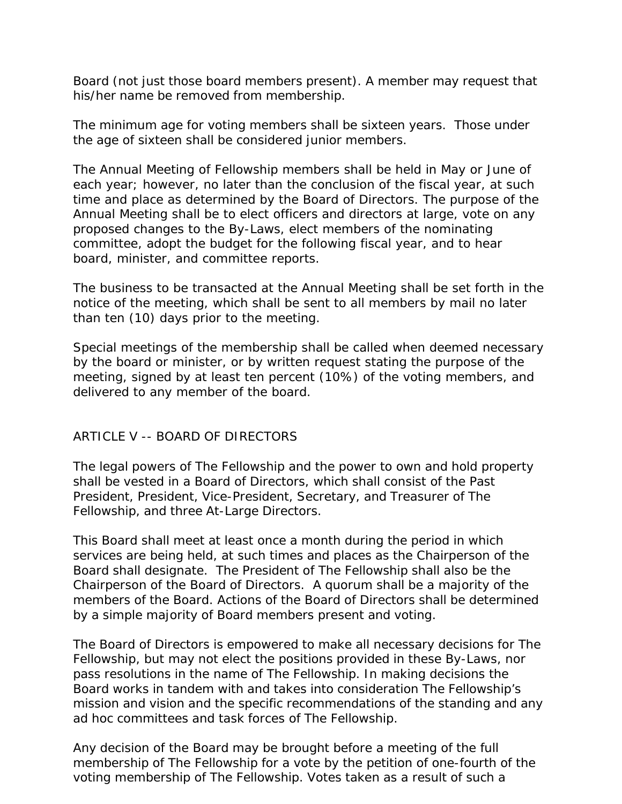Board (not just those board members present). A member may request that his/her name be removed from membership.

The minimum age for voting members shall be sixteen years. Those under the age of sixteen shall be considered junior members.

The Annual Meeting of Fellowship members shall be held in May or June of each year; however, no later than the conclusion of the fiscal year, at such time and place as determined by the Board of Directors. The purpose of the Annual Meeting shall be to elect officers and directors at large, vote on any proposed changes to the By-Laws, elect members of the nominating committee, adopt the budget for the following fiscal year, and to hear board, minister, and committee reports.

The business to be transacted at the Annual Meeting shall be set forth in the notice of the meeting, which shall be sent to all members by mail no later than ten (10) days prior to the meeting.

Special meetings of the membership shall be called when deemed necessary by the board or minister, or by written request stating the purpose of the meeting, signed by at least ten percent (10%) of the voting members, and delivered to any member of the board.

# ARTICLE V -- BOARD OF DIRECTORS

The legal powers of The Fellowship and the power to own and hold property shall be vested in a Board of Directors, which shall consist of the Past President, President, Vice-President, Secretary, and Treasurer of The Fellowship, and three At-Large Directors.

This Board shall meet at least once a month during the period in which services are being held, at such times and places as the Chairperson of the Board shall designate. The President of The Fellowship shall also be the Chairperson of the Board of Directors. A quorum shall be a majority of the members of the Board. Actions of the Board of Directors shall be determined by a simple majority of Board members present and voting.

The Board of Directors is empowered to make all necessary decisions for The Fellowship, but may not elect the positions provided in these By-Laws, nor pass resolutions in the name of The Fellowship. In making decisions the Board works in tandem with and takes into consideration The Fellowship's mission and vision and the specific recommendations of the standing and any ad hoc committees and task forces of The Fellowship.

Any decision of the Board may be brought before a meeting of the full membership of The Fellowship for a vote by the petition of one-fourth of the voting membership of The Fellowship. Votes taken as a result of such a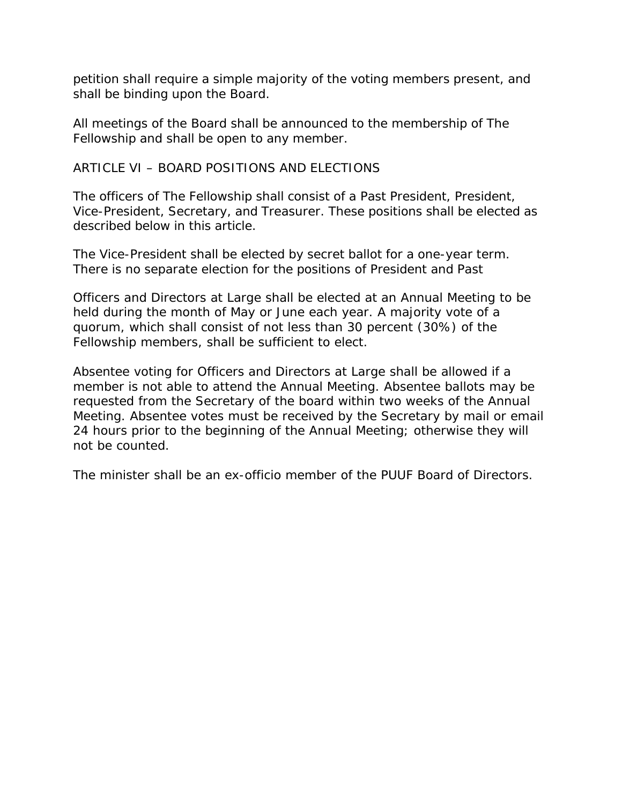petition shall require a simple majority of the voting members present, and shall be binding upon the Board.

All meetings of the Board shall be announced to the membership of The Fellowship and shall be open to any member.

ARTICLE VI – BOARD POSITIONS AND ELECTIONS

The officers of The Fellowship shall consist of a Past President, President, Vice-President, Secretary, and Treasurer. These positions shall be elected as described below in this article.

The Vice-President shall be elected by secret ballot for a one-year term. There is no separate election for the positions of President and Past

Officers and Directors at Large shall be elected at an Annual Meeting to be held during the month of May or June each year. A majority vote of a quorum, which shall consist of not less than 30 percent (30%) of the Fellowship members, shall be sufficient to elect.

Absentee voting for Officers and Directors at Large shall be allowed if a member is not able to attend the Annual Meeting. Absentee ballots may be requested from the Secretary of the board within two weeks of the Annual Meeting. Absentee votes must be received by the Secretary by mail or email 24 hours prior to the beginning of the Annual Meeting; otherwise they will not be counted.

The minister shall be an ex-officio member of the PUUF Board of Directors.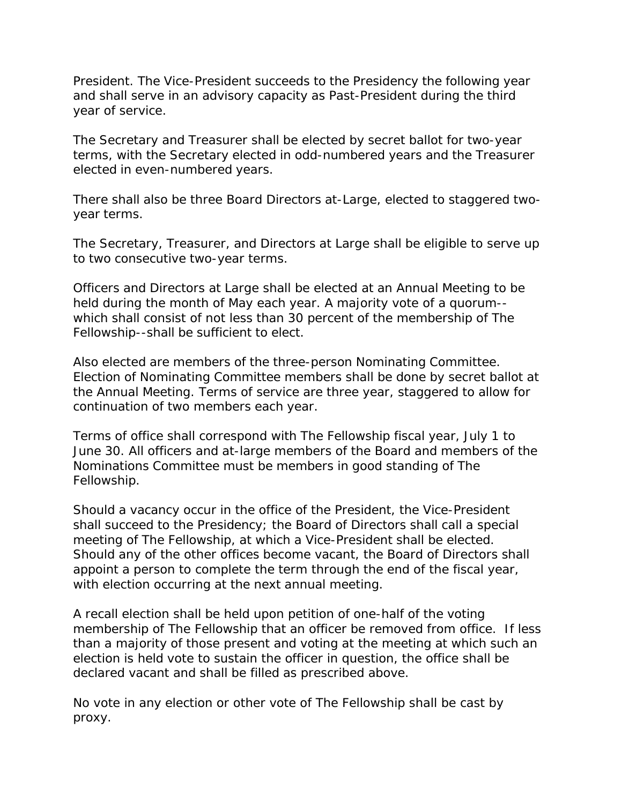President. The Vice-President succeeds to the Presidency the following year and shall serve in an advisory capacity as Past-President during the third year of service.

The Secretary and Treasurer shall be elected by secret ballot for two-year terms, with the Secretary elected in odd-numbered years and the Treasurer elected in even-numbered years.

There shall also be three Board Directors at-Large, elected to staggered twoyear terms.

The Secretary, Treasurer, and Directors at Large shall be eligible to serve up to two consecutive two-year terms.

Officers and Directors at Large shall be elected at an Annual Meeting to be held during the month of May each year. A majority vote of a quorum- which shall consist of not less than 30 percent of the membership of The Fellowship--shall be sufficient to elect.

Also elected are members of the three-person Nominating Committee. Election of Nominating Committee members shall be done by secret ballot at the Annual Meeting. Terms of service are three year, staggered to allow for continuation of two members each year.

Terms of office shall correspond with The Fellowship fiscal year, July 1 to June 30. All officers and at-large members of the Board and members of the Nominations Committee must be members in good standing of The Fellowship.

Should a vacancy occur in the office of the President, the Vice-President shall succeed to the Presidency; the Board of Directors shall call a special meeting of The Fellowship, at which a Vice-President shall be elected. Should any of the other offices become vacant, the Board of Directors shall appoint a person to complete the term through the end of the fiscal year, with election occurring at the next annual meeting.

A recall election shall be held upon petition of one-half of the voting membership of The Fellowship that an officer be removed from office. If less than a majority of those present and voting at the meeting at which such an election is held vote to sustain the officer in question, the office shall be declared vacant and shall be filled as prescribed above.

No vote in any election or other vote of The Fellowship shall be cast by proxy.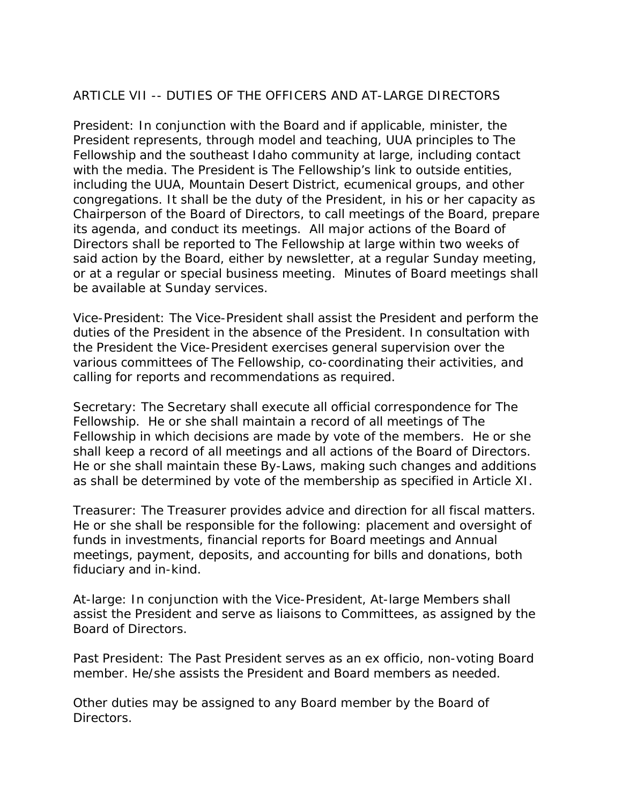# ARTICLE VII -- DUTIES OF THE OFFICERS AND AT-LARGE DIRECTORS

President: In conjunction with the Board and if applicable, minister, the President represents, through model and teaching, UUA principles to The Fellowship and the southeast Idaho community at large, including contact with the media. The President is The Fellowship's link to outside entities, including the UUA, Mountain Desert District, ecumenical groups, and other congregations. It shall be the duty of the President, in his or her capacity as Chairperson of the Board of Directors, to call meetings of the Board, prepare its agenda, and conduct its meetings. All major actions of the Board of Directors shall be reported to The Fellowship at large within two weeks of said action by the Board, either by newsletter, at a regular Sunday meeting, or at a regular or special business meeting. Minutes of Board meetings shall be available at Sunday services.

Vice-President: The Vice-President shall assist the President and perform the duties of the President in the absence of the President. In consultation with the President the Vice-President exercises general supervision over the various committees of The Fellowship, co-coordinating their activities, and calling for reports and recommendations as required.

Secretary: The Secretary shall execute all official correspondence for The Fellowship. He or she shall maintain a record of all meetings of The Fellowship in which decisions are made by vote of the members. He or she shall keep a record of all meetings and all actions of the Board of Directors. He or she shall maintain these By-Laws, making such changes and additions as shall be determined by vote of the membership as specified in Article XI.

Treasurer: The Treasurer provides advice and direction for all fiscal matters. He or she shall be responsible for the following: placement and oversight of funds in investments, financial reports for Board meetings and Annual meetings, payment, deposits, and accounting for bills and donations, both fiduciary and in-kind.

At-large: In conjunction with the Vice-President, At-large Members shall assist the President and serve as liaisons to Committees, as assigned by the Board of Directors.

Past President: The Past President serves as an ex officio, non-voting Board member. He/she assists the President and Board members as needed.

Other duties may be assigned to any Board member by the Board of Directors.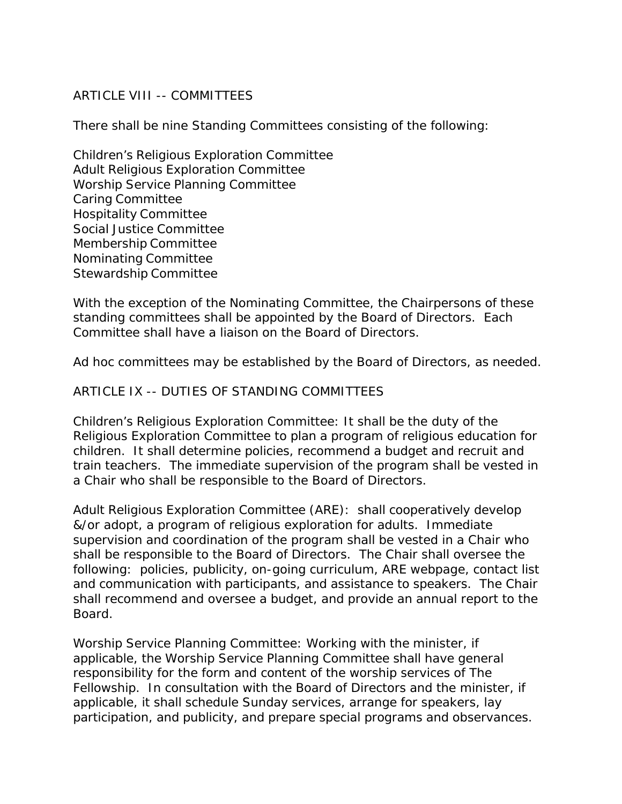## ARTICLE VIII -- COMMITTEES

There shall be nine Standing Committees consisting of the following:

Children's Religious Exploration Committee Adult Religious Exploration Committee Worship Service Planning Committee Caring Committee Hospitality Committee Social Justice Committee Membership Committee Nominating Committee Stewardship Committee

With the exception of the Nominating Committee, the Chairpersons of these standing committees shall be appointed by the Board of Directors. Each Committee shall have a liaison on the Board of Directors.

Ad hoc committees may be established by the Board of Directors, as needed.

### ARTICLE IX -- DUTIES OF STANDING COMMITTEES

Children's Religious Exploration Committee: It shall be the duty of the Religious Exploration Committee to plan a program of religious education for children. It shall determine policies, recommend a budget and recruit and train teachers. The immediate supervision of the program shall be vested in a Chair who shall be responsible to the Board of Directors.

Adult Religious Exploration Committee (ARE): shall cooperatively develop &/or adopt, a program of religious exploration for adults. Immediate supervision and coordination of the program shall be vested in a Chair who shall be responsible to the Board of Directors. The Chair shall oversee the following: policies, publicity, on-going curriculum, ARE webpage, contact list and communication with participants, and assistance to speakers. The Chair shall recommend and oversee a budget, and provide an annual report to the Board.

Worship Service Planning Committee: Working with the minister, if applicable, the Worship Service Planning Committee shall have general responsibility for the form and content of the worship services of The Fellowship. In consultation with the Board of Directors and the minister, if applicable, it shall schedule Sunday services, arrange for speakers, lay participation, and publicity, and prepare special programs and observances.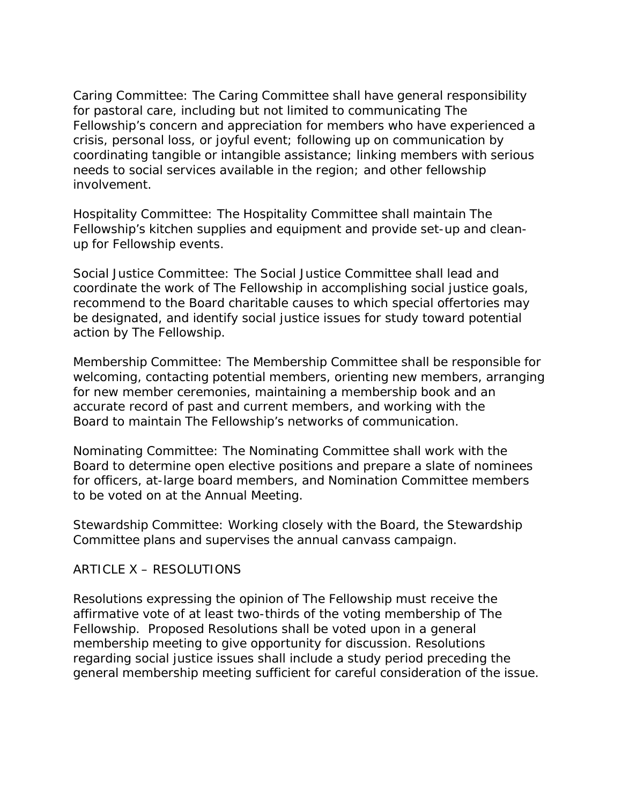Caring Committee: The Caring Committee shall have general responsibility for pastoral care, including but not limited to communicating The Fellowship's concern and appreciation for members who have experienced a crisis, personal loss, or joyful event; following up on communication by coordinating tangible or intangible assistance; linking members with serious needs to social services available in the region; and other fellowship involvement.

Hospitality Committee: The Hospitality Committee shall maintain The Fellowship's kitchen supplies and equipment and provide set-up and cleanup for Fellowship events.

Social Justice Committee: The Social Justice Committee shall lead and coordinate the work of The Fellowship in accomplishing social justice goals, recommend to the Board charitable causes to which special offertories may be designated, and identify social justice issues for study toward potential action by The Fellowship.

Membership Committee: The Membership Committee shall be responsible for welcoming, contacting potential members, orienting new members, arranging for new member ceremonies, maintaining a membership book and an accurate record of past and current members, and working with the Board to maintain The Fellowship's networks of communication.

Nominating Committee: The Nominating Committee shall work with the Board to determine open elective positions and prepare a slate of nominees for officers, at-large board members, and Nomination Committee members to be voted on at the Annual Meeting.

Stewardship Committee: Working closely with the Board, the Stewardship Committee plans and supervises the annual canvass campaign.

# ARTICLE X – RESOLUTIONS

Resolutions expressing the opinion of The Fellowship must receive the affirmative vote of at least two-thirds of the voting membership of The Fellowship. Proposed Resolutions shall be voted upon in a general membership meeting to give opportunity for discussion. Resolutions regarding social justice issues shall include a study period preceding the general membership meeting sufficient for careful consideration of the issue.